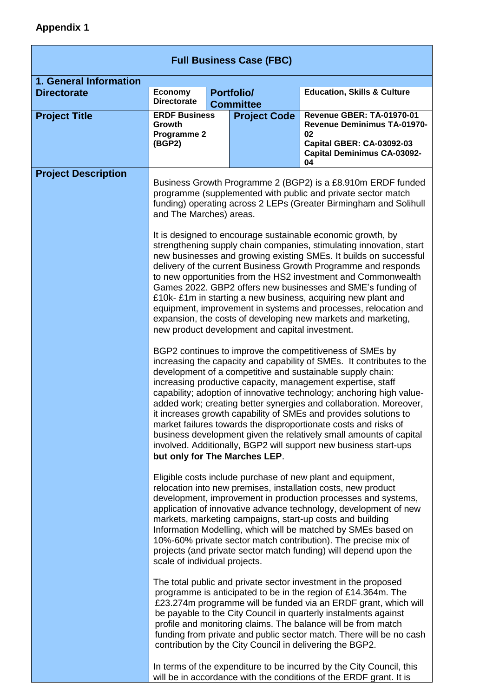| <b>Full Business Case (FBC)</b> |                                                                                                                                                                                                                                                                                                                                                                                                                                                                                                                                                                                                                                                                                                                                                                                                                                                                                                                                                                                                                                                                                                                                                                                                                                                                                                                                                                                                                                                                                                                                                                                                                                    |                                       |                                                                                                                                                                                                                                                                                                                                                                                                                                                                                                                                                                                                                                                                                                                                                                                                                                                                                                                                                                                                                                                                                                                                                                                                   |                                                                                                                                                        |  |  |
|---------------------------------|------------------------------------------------------------------------------------------------------------------------------------------------------------------------------------------------------------------------------------------------------------------------------------------------------------------------------------------------------------------------------------------------------------------------------------------------------------------------------------------------------------------------------------------------------------------------------------------------------------------------------------------------------------------------------------------------------------------------------------------------------------------------------------------------------------------------------------------------------------------------------------------------------------------------------------------------------------------------------------------------------------------------------------------------------------------------------------------------------------------------------------------------------------------------------------------------------------------------------------------------------------------------------------------------------------------------------------------------------------------------------------------------------------------------------------------------------------------------------------------------------------------------------------------------------------------------------------------------------------------------------------|---------------------------------------|---------------------------------------------------------------------------------------------------------------------------------------------------------------------------------------------------------------------------------------------------------------------------------------------------------------------------------------------------------------------------------------------------------------------------------------------------------------------------------------------------------------------------------------------------------------------------------------------------------------------------------------------------------------------------------------------------------------------------------------------------------------------------------------------------------------------------------------------------------------------------------------------------------------------------------------------------------------------------------------------------------------------------------------------------------------------------------------------------------------------------------------------------------------------------------------------------|--------------------------------------------------------------------------------------------------------------------------------------------------------|--|--|
| 1. General Information          |                                                                                                                                                                                                                                                                                                                                                                                                                                                                                                                                                                                                                                                                                                                                                                                                                                                                                                                                                                                                                                                                                                                                                                                                                                                                                                                                                                                                                                                                                                                                                                                                                                    |                                       |                                                                                                                                                                                                                                                                                                                                                                                                                                                                                                                                                                                                                                                                                                                                                                                                                                                                                                                                                                                                                                                                                                                                                                                                   |                                                                                                                                                        |  |  |
| <b>Directorate</b>              | <b>Economy</b><br><b>Directorate</b>                                                                                                                                                                                                                                                                                                                                                                                                                                                                                                                                                                                                                                                                                                                                                                                                                                                                                                                                                                                                                                                                                                                                                                                                                                                                                                                                                                                                                                                                                                                                                                                               | <b>Portfolio/</b><br><b>Committee</b> |                                                                                                                                                                                                                                                                                                                                                                                                                                                                                                                                                                                                                                                                                                                                                                                                                                                                                                                                                                                                                                                                                                                                                                                                   | <b>Education, Skills &amp; Culture</b>                                                                                                                 |  |  |
| <b>Project Title</b>            | <b>ERDF Business</b><br><b>Growth</b><br>Programme 2<br>(BGP2)                                                                                                                                                                                                                                                                                                                                                                                                                                                                                                                                                                                                                                                                                                                                                                                                                                                                                                                                                                                                                                                                                                                                                                                                                                                                                                                                                                                                                                                                                                                                                                     | <b>Project Code</b><br>02             |                                                                                                                                                                                                                                                                                                                                                                                                                                                                                                                                                                                                                                                                                                                                                                                                                                                                                                                                                                                                                                                                                                                                                                                                   | <b>Revenue GBER: TA-01970-01</b><br><b>Revenue Deminimus TA-01970-</b><br><b>Capital GBER: CA-03092-03</b><br><b>Capital Deminimus CA-03092-</b><br>04 |  |  |
| <b>Project Description</b>      | Business Growth Programme 2 (BGP2) is a £8.910m ERDF funded<br>programme (supplemented with public and private sector match<br>funding) operating across 2 LEPs (Greater Birmingham and Solihull<br>and The Marches) areas.<br>It is designed to encourage sustainable economic growth, by<br>strengthening supply chain companies, stimulating innovation, start<br>new businesses and growing existing SMEs. It builds on successful<br>delivery of the current Business Growth Programme and responds<br>to new opportunities from the HS2 investment and Commonwealth<br>Games 2022. GBP2 offers new businesses and SME's funding of<br>£10k- £1m in starting a new business, acquiring new plant and<br>equipment, improvement in systems and processes, relocation and<br>expansion, the costs of developing new markets and marketing,<br>new product development and capital investment.<br>BGP2 continues to improve the competitiveness of SMEs by<br>increasing the capacity and capability of SMEs. It contributes to the<br>development of a competitive and sustainable supply chain:<br>increasing productive capacity, management expertise, staff<br>capability; adoption of innovative technology; anchoring high value-<br>added work; creating better synergies and collaboration. Moreover,<br>it increases growth capability of SMEs and provides solutions to<br>market failures towards the disproportionate costs and risks of<br>business development given the relatively small amounts of capital<br>involved. Additionally, BGP2 will support new business start-ups<br>but only for The Marches LEP. |                                       |                                                                                                                                                                                                                                                                                                                                                                                                                                                                                                                                                                                                                                                                                                                                                                                                                                                                                                                                                                                                                                                                                                                                                                                                   |                                                                                                                                                        |  |  |
|                                 |                                                                                                                                                                                                                                                                                                                                                                                                                                                                                                                                                                                                                                                                                                                                                                                                                                                                                                                                                                                                                                                                                                                                                                                                                                                                                                                                                                                                                                                                                                                                                                                                                                    |                                       |                                                                                                                                                                                                                                                                                                                                                                                                                                                                                                                                                                                                                                                                                                                                                                                                                                                                                                                                                                                                                                                                                                                                                                                                   |                                                                                                                                                        |  |  |
|                                 |                                                                                                                                                                                                                                                                                                                                                                                                                                                                                                                                                                                                                                                                                                                                                                                                                                                                                                                                                                                                                                                                                                                                                                                                                                                                                                                                                                                                                                                                                                                                                                                                                                    |                                       | Eligible costs include purchase of new plant and equipment,<br>relocation into new premises, installation costs, new product<br>development, improvement in production processes and systems,<br>application of innovative advance technology, development of new<br>markets, marketing campaigns, start-up costs and building<br>Information Modelling, which will be matched by SMEs based on<br>10%-60% private sector match contribution). The precise mix of<br>projects (and private sector match funding) will depend upon the<br>scale of individual projects.<br>The total public and private sector investment in the proposed<br>programme is anticipated to be in the region of £14.364m. The<br>£23.274m programme will be funded via an ERDF grant, which will<br>be payable to the City Council in quarterly instalments against<br>profile and monitoring claims. The balance will be from match<br>funding from private and public sector match. There will be no cash<br>contribution by the City Council in delivering the BGP2.<br>In terms of the expenditure to be incurred by the City Council, this<br>will be in accordance with the conditions of the ERDF grant. It is |                                                                                                                                                        |  |  |
|                                 |                                                                                                                                                                                                                                                                                                                                                                                                                                                                                                                                                                                                                                                                                                                                                                                                                                                                                                                                                                                                                                                                                                                                                                                                                                                                                                                                                                                                                                                                                                                                                                                                                                    |                                       |                                                                                                                                                                                                                                                                                                                                                                                                                                                                                                                                                                                                                                                                                                                                                                                                                                                                                                                                                                                                                                                                                                                                                                                                   |                                                                                                                                                        |  |  |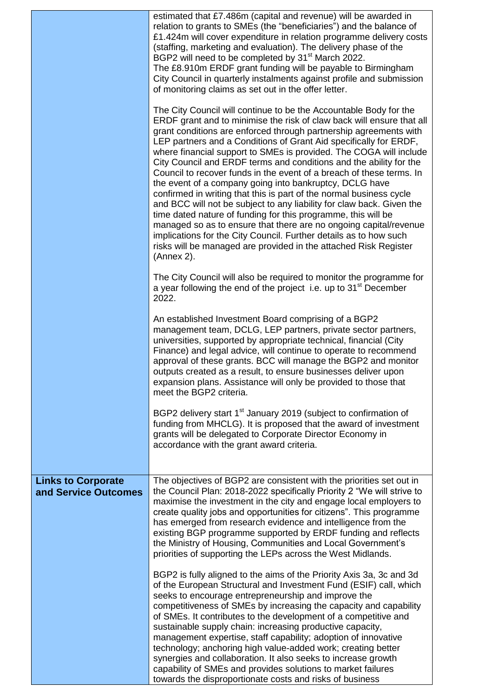|                                                   | estimated that £7.486m (capital and revenue) will be awarded in<br>relation to grants to SMEs (the "beneficiaries") and the balance of<br>£1.424m will cover expenditure in relation programme delivery costs<br>(staffing, marketing and evaluation). The delivery phase of the<br>BGP2 will need to be completed by 31 <sup>st</sup> March 2022.<br>The £8.910m ERDF grant funding will be payable to Birmingham<br>City Council in quarterly instalments against profile and submission<br>of monitoring claims as set out in the offer letter.<br>The City Council will continue to be the Accountable Body for the<br>ERDF grant and to minimise the risk of claw back will ensure that all<br>grant conditions are enforced through partnership agreements with<br>LEP partners and a Conditions of Grant Aid specifically for ERDF,<br>where financial support to SMEs is provided. The COGA will include<br>City Council and ERDF terms and conditions and the ability for the<br>Council to recover funds in the event of a breach of these terms. In<br>the event of a company going into bankruptcy, DCLG have<br>confirmed in writing that this is part of the normal business cycle<br>and BCC will not be subject to any liability for claw back. Given the<br>time dated nature of funding for this programme, this will be<br>managed so as to ensure that there are no ongoing capital/revenue<br>implications for the City Council. Further details as to how such |  |  |  |
|---------------------------------------------------|--------------------------------------------------------------------------------------------------------------------------------------------------------------------------------------------------------------------------------------------------------------------------------------------------------------------------------------------------------------------------------------------------------------------------------------------------------------------------------------------------------------------------------------------------------------------------------------------------------------------------------------------------------------------------------------------------------------------------------------------------------------------------------------------------------------------------------------------------------------------------------------------------------------------------------------------------------------------------------------------------------------------------------------------------------------------------------------------------------------------------------------------------------------------------------------------------------------------------------------------------------------------------------------------------------------------------------------------------------------------------------------------------------------------------------------------------------------------------------------|--|--|--|
|                                                   | risks will be managed are provided in the attached Risk Register<br>(Annex 2).<br>The City Council will also be required to monitor the programme for<br>a year following the end of the project i.e. up to 31 <sup>st</sup> December<br>2022.                                                                                                                                                                                                                                                                                                                                                                                                                                                                                                                                                                                                                                                                                                                                                                                                                                                                                                                                                                                                                                                                                                                                                                                                                                       |  |  |  |
|                                                   | An established Investment Board comprising of a BGP2<br>management team, DCLG, LEP partners, private sector partners,<br>universities, supported by appropriate technical, financial (City<br>Finance) and legal advice, will continue to operate to recommend<br>approval of these grants. BCC will manage the BGP2 and monitor<br>outputs created as a result, to ensure businesses deliver upon<br>expansion plans. Assistance will only be provided to those that<br>meet the BGP2 criteria.                                                                                                                                                                                                                                                                                                                                                                                                                                                                                                                                                                                                                                                                                                                                                                                                                                                                                                                                                                                     |  |  |  |
|                                                   | BGP2 delivery start 1 <sup>st</sup> January 2019 (subject to confirmation of<br>funding from MHCLG). It is proposed that the award of investment<br>grants will be delegated to Corporate Director Economy in<br>accordance with the grant award criteria.                                                                                                                                                                                                                                                                                                                                                                                                                                                                                                                                                                                                                                                                                                                                                                                                                                                                                                                                                                                                                                                                                                                                                                                                                           |  |  |  |
| <b>Links to Corporate</b><br>and Service Outcomes | The objectives of BGP2 are consistent with the priorities set out in<br>the Council Plan: 2018-2022 specifically Priority 2 "We will strive to<br>maximise the investment in the city and engage local employers to<br>create quality jobs and opportunities for citizens". This programme<br>has emerged from research evidence and intelligence from the<br>existing BGP programme supported by ERDF funding and reflects<br>the Ministry of Housing, Communities and Local Government's<br>priorities of supporting the LEPs across the West Midlands.                                                                                                                                                                                                                                                                                                                                                                                                                                                                                                                                                                                                                                                                                                                                                                                                                                                                                                                            |  |  |  |
|                                                   | BGP2 is fully aligned to the aims of the Priority Axis 3a, 3c and 3d<br>of the European Structural and Investment Fund (ESIF) call, which<br>seeks to encourage entrepreneurship and improve the<br>competitiveness of SMEs by increasing the capacity and capability<br>of SMEs. It contributes to the development of a competitive and<br>sustainable supply chain: increasing productive capacity,<br>management expertise, staff capability; adoption of innovative<br>technology; anchoring high value-added work; creating better<br>synergies and collaboration. It also seeks to increase growth<br>capability of SMEs and provides solutions to market failures<br>towards the disproportionate costs and risks of business                                                                                                                                                                                                                                                                                                                                                                                                                                                                                                                                                                                                                                                                                                                                                 |  |  |  |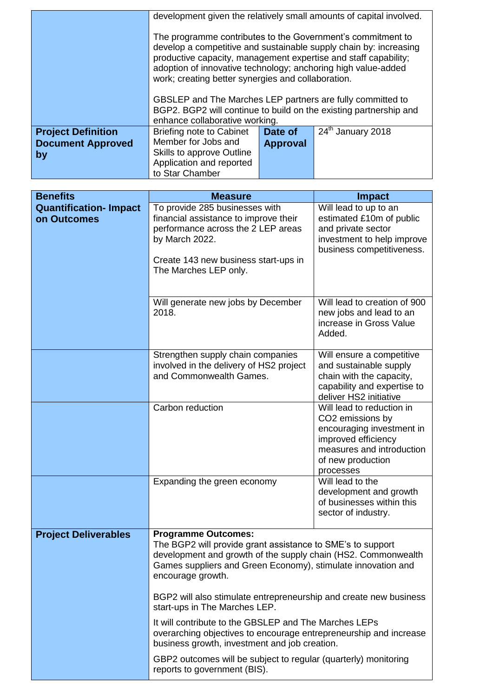|                           | development given the relatively small amounts of capital involved.                                                                                                                                                                                                                                                        |  |  |  |  |  |
|---------------------------|----------------------------------------------------------------------------------------------------------------------------------------------------------------------------------------------------------------------------------------------------------------------------------------------------------------------------|--|--|--|--|--|
|                           | The programme contributes to the Government's commitment to<br>develop a competitive and sustainable supply chain by: increasing<br>productive capacity, management expertise and staff capability;<br>adoption of innovative technology; anchoring high value-added<br>work; creating better synergies and collaboration. |  |  |  |  |  |
|                           | GBSLEP and The Marches LEP partners are fully committed to<br>BGP2. BGP2 will continue to build on the existing partnership and<br>enhance collaborative working.                                                                                                                                                          |  |  |  |  |  |
| <b>Project Definition</b> | 24 <sup>th</sup> January 2018<br><b>Briefing note to Cabinet</b><br>Date of                                                                                                                                                                                                                                                |  |  |  |  |  |
| <b>Document Approved</b>  | Member for Jobs and<br><b>Approval</b>                                                                                                                                                                                                                                                                                     |  |  |  |  |  |
| by                        | Skills to approve Outline                                                                                                                                                                                                                                                                                                  |  |  |  |  |  |
|                           | Application and reported                                                                                                                                                                                                                                                                                                   |  |  |  |  |  |
|                           | to Star Chamber                                                                                                                                                                                                                                                                                                            |  |  |  |  |  |

| <b>Benefits</b>                             | <b>Measure</b><br><b>Impact</b>                                                                                                                                                                                                                                                   |                                                                                                                                                                                                                                                                                                              |  |  |  |
|---------------------------------------------|-----------------------------------------------------------------------------------------------------------------------------------------------------------------------------------------------------------------------------------------------------------------------------------|--------------------------------------------------------------------------------------------------------------------------------------------------------------------------------------------------------------------------------------------------------------------------------------------------------------|--|--|--|
| <b>Quantification-Impact</b><br>on Outcomes | To provide 285 businesses with<br>financial assistance to improve their<br>performance across the 2 LEP areas<br>by March 2022.<br>Create 143 new business start-ups in<br>The Marches LEP only.                                                                                  | Will lead to up to an<br>estimated £10m of public<br>and private sector<br>investment to help improve<br>business competitiveness.                                                                                                                                                                           |  |  |  |
|                                             | Will generate new jobs by December<br>2018.                                                                                                                                                                                                                                       | Will lead to creation of 900<br>new jobs and lead to an<br>increase in Gross Value<br>Added.                                                                                                                                                                                                                 |  |  |  |
|                                             | Strengthen supply chain companies<br>involved in the delivery of HS2 project<br>and Commonwealth Games.                                                                                                                                                                           | Will ensure a competitive<br>and sustainable supply<br>chain with the capacity,<br>capability and expertise to<br>deliver HS2 initiative<br>Will lead to reduction in<br>CO2 emissions by<br>encouraging investment in<br>improved efficiency<br>measures and introduction<br>of new production<br>processes |  |  |  |
|                                             | Carbon reduction                                                                                                                                                                                                                                                                  |                                                                                                                                                                                                                                                                                                              |  |  |  |
|                                             | Expanding the green economy                                                                                                                                                                                                                                                       | Will lead to the<br>development and growth<br>of businesses within this<br>sector of industry.                                                                                                                                                                                                               |  |  |  |
| <b>Project Deliverables</b>                 | <b>Programme Outcomes:</b><br>encourage growth.                                                                                                                                                                                                                                   | The BGP2 will provide grant assistance to SME's to support<br>development and growth of the supply chain (HS2. Commonwealth<br>Games suppliers and Green Economy), stimulate innovation and                                                                                                                  |  |  |  |
|                                             | BGP2 will also stimulate entrepreneurship and create new business<br>start-ups in The Marches LEP.<br>It will contribute to the GBSLEP and The Marches LEPs<br>overarching objectives to encourage entrepreneurship and increase<br>business growth, investment and job creation. |                                                                                                                                                                                                                                                                                                              |  |  |  |
|                                             |                                                                                                                                                                                                                                                                                   |                                                                                                                                                                                                                                                                                                              |  |  |  |
|                                             | GBP2 outcomes will be subject to regular (quarterly) monitoring<br>reports to government (BIS).                                                                                                                                                                                   |                                                                                                                                                                                                                                                                                                              |  |  |  |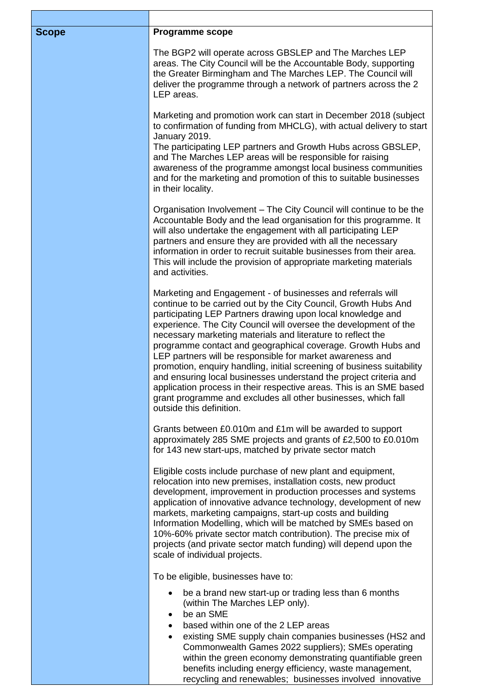| <b>Scope</b> | <b>Programme scope</b>                                                                                                                                                                                                                                                                                                                                                                                                                                                                                                                                                                                                                                                                                                                                                           |  |  |  |  |
|--------------|----------------------------------------------------------------------------------------------------------------------------------------------------------------------------------------------------------------------------------------------------------------------------------------------------------------------------------------------------------------------------------------------------------------------------------------------------------------------------------------------------------------------------------------------------------------------------------------------------------------------------------------------------------------------------------------------------------------------------------------------------------------------------------|--|--|--|--|
|              | The BGP2 will operate across GBSLEP and The Marches LEP<br>areas. The City Council will be the Accountable Body, supporting<br>the Greater Birmingham and The Marches LEP. The Council will<br>deliver the programme through a network of partners across the 2<br>LEP areas.                                                                                                                                                                                                                                                                                                                                                                                                                                                                                                    |  |  |  |  |
|              | Marketing and promotion work can start in December 2018 (subject<br>to confirmation of funding from MHCLG), with actual delivery to start<br>January 2019.<br>The participating LEP partners and Growth Hubs across GBSLEP,<br>and The Marches LEP areas will be responsible for raising<br>awareness of the programme amongst local business communities<br>and for the marketing and promotion of this to suitable businesses<br>in their locality.                                                                                                                                                                                                                                                                                                                            |  |  |  |  |
|              | Organisation Involvement - The City Council will continue to be the<br>Accountable Body and the lead organisation for this programme. It<br>will also undertake the engagement with all participating LEP<br>partners and ensure they are provided with all the necessary<br>information in order to recruit suitable businesses from their area.<br>This will include the provision of appropriate marketing materials<br>and activities.                                                                                                                                                                                                                                                                                                                                       |  |  |  |  |
|              | Marketing and Engagement - of businesses and referrals will<br>continue to be carried out by the City Council, Growth Hubs And<br>participating LEP Partners drawing upon local knowledge and<br>experience. The City Council will oversee the development of the<br>necessary marketing materials and literature to reflect the<br>programme contact and geographical coverage. Growth Hubs and<br>LEP partners will be responsible for market awareness and<br>promotion, enquiry handling, initial screening of business suitability<br>and ensuring local businesses understand the project criteria and<br>application process in their respective areas. This is an SME based<br>grant programme and excludes all other businesses, which fall<br>outside this definition. |  |  |  |  |
|              | Grants between £0.010m and £1m will be awarded to support<br>approximately 285 SME projects and grants of £2,500 to £0.010m<br>for 143 new start-ups, matched by private sector match                                                                                                                                                                                                                                                                                                                                                                                                                                                                                                                                                                                            |  |  |  |  |
|              | Eligible costs include purchase of new plant and equipment,<br>relocation into new premises, installation costs, new product<br>development, improvement in production processes and systems<br>application of innovative advance technology, development of new<br>markets, marketing campaigns, start-up costs and building<br>Information Modelling, which will be matched by SMEs based on<br>10%-60% private sector match contribution). The precise mix of<br>projects (and private sector match funding) will depend upon the<br>scale of individual projects.                                                                                                                                                                                                            |  |  |  |  |
|              | To be eligible, businesses have to:                                                                                                                                                                                                                                                                                                                                                                                                                                                                                                                                                                                                                                                                                                                                              |  |  |  |  |
|              | be a brand new start-up or trading less than 6 months<br>(within The Marches LEP only).<br>be an SME<br>$\bullet$<br>based within one of the 2 LEP areas<br>$\bullet$<br>existing SME supply chain companies businesses (HS2 and<br>Commonwealth Games 2022 suppliers); SMEs operating<br>within the green economy demonstrating quantifiable green                                                                                                                                                                                                                                                                                                                                                                                                                              |  |  |  |  |

٦

benefits including energy efficiency, waste management, recycling and renewables; businesses involved innovative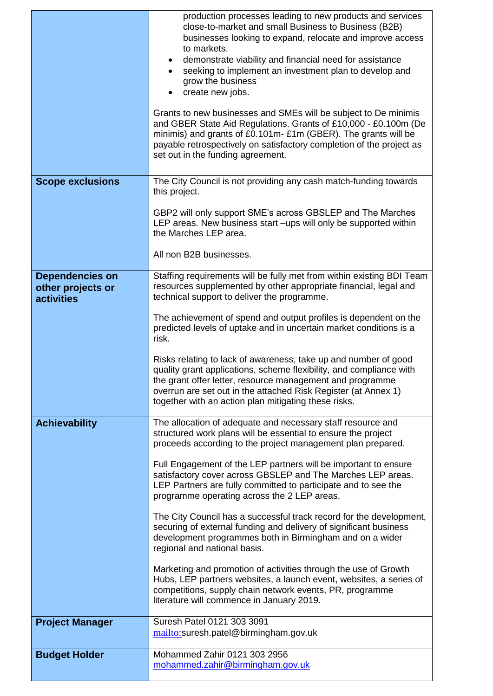|                                                           | production processes leading to new products and services<br>close-to-market and small Business to Business (B2B)<br>businesses looking to expand, relocate and improve access<br>to markets.<br>demonstrate viability and financial need for assistance<br>$\bullet$<br>seeking to implement an investment plan to develop and<br>grow the business<br>create new jobs.<br>Grants to new businesses and SMEs will be subject to De minimis<br>and GBER State Aid Regulations. Grants of £10,000 - £0.100m (De<br>minimis) and grants of £0.101m- £1m (GBER). The grants will be<br>payable retrospectively on satisfactory completion of the project as<br>set out in the funding agreement.                                                                                                                                                                                                                                            |
|-----------------------------------------------------------|------------------------------------------------------------------------------------------------------------------------------------------------------------------------------------------------------------------------------------------------------------------------------------------------------------------------------------------------------------------------------------------------------------------------------------------------------------------------------------------------------------------------------------------------------------------------------------------------------------------------------------------------------------------------------------------------------------------------------------------------------------------------------------------------------------------------------------------------------------------------------------------------------------------------------------------|
| <b>Scope exclusions</b>                                   | The City Council is not providing any cash match-funding towards<br>this project.<br>GBP2 will only support SME's across GBSLEP and The Marches<br>LEP areas. New business start -ups will only be supported within<br>the Marches LEP area.<br>All non B2B businesses.                                                                                                                                                                                                                                                                                                                                                                                                                                                                                                                                                                                                                                                                  |
| <b>Dependencies on</b><br>other projects or<br>activities | Staffing requirements will be fully met from within existing BDI Team<br>resources supplemented by other appropriate financial, legal and<br>technical support to deliver the programme.<br>The achievement of spend and output profiles is dependent on the<br>predicted levels of uptake and in uncertain market conditions is a<br>risk.<br>Risks relating to lack of awareness, take up and number of good<br>quality grant applications, scheme flexibility, and compliance with<br>the grant offer letter, resource management and programme<br>overrun are set out in the attached Risk Register (at Annex 1)<br>together with an action plan mitigating these risks.                                                                                                                                                                                                                                                             |
| <b>Achievability</b>                                      | The allocation of adequate and necessary staff resource and<br>structured work plans will be essential to ensure the project<br>proceeds according to the project management plan prepared.<br>Full Engagement of the LEP partners will be important to ensure<br>satisfactory cover across GBSLEP and The Marches LEP areas.<br>LEP Partners are fully committed to participate and to see the<br>programme operating across the 2 LEP areas.<br>The City Council has a successful track record for the development,<br>securing of external funding and delivery of significant business<br>development programmes both in Birmingham and on a wider<br>regional and national basis.<br>Marketing and promotion of activities through the use of Growth<br>Hubs, LEP partners websites, a launch event, websites, a series of<br>competitions, supply chain network events, PR, programme<br>literature will commence in January 2019. |
| <b>Project Manager</b>                                    | Suresh Patel 0121 303 3091<br>mailto:suresh.patel@birmingham.gov.uk                                                                                                                                                                                                                                                                                                                                                                                                                                                                                                                                                                                                                                                                                                                                                                                                                                                                      |
| <b>Budget Holder</b>                                      | Mohammed Zahir 0121 303 2956<br>mohammed.zahir@birmingham.gov.uk                                                                                                                                                                                                                                                                                                                                                                                                                                                                                                                                                                                                                                                                                                                                                                                                                                                                         |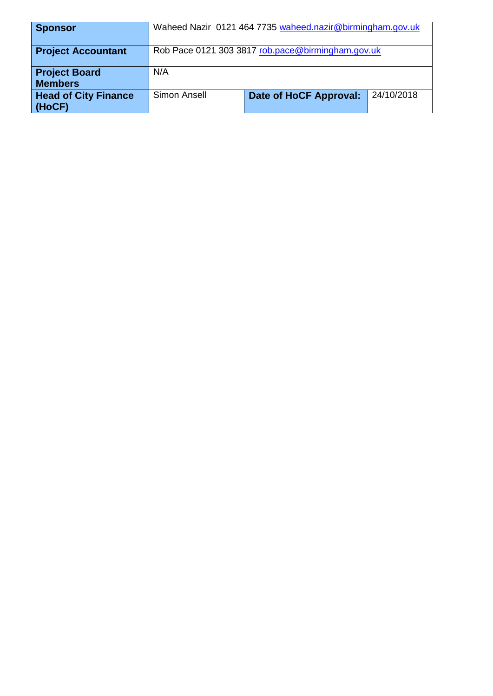| Sponsor                                |                                                   | Waheed Nazir 0121 464 7735 waheed.nazir@birmingham.gov.uk |            |  |
|----------------------------------------|---------------------------------------------------|-----------------------------------------------------------|------------|--|
| <b>Project Accountant</b>              | Rob Pace 0121 303 3817 rob.pace@birmingham.gov.uk |                                                           |            |  |
| <b>Project Board</b><br><b>Members</b> | N/A                                               |                                                           |            |  |
| <b>Head of City Finance</b><br>(HoCF)  | Simon Ansell                                      | Date of HoCF Approval:                                    | 24/10/2018 |  |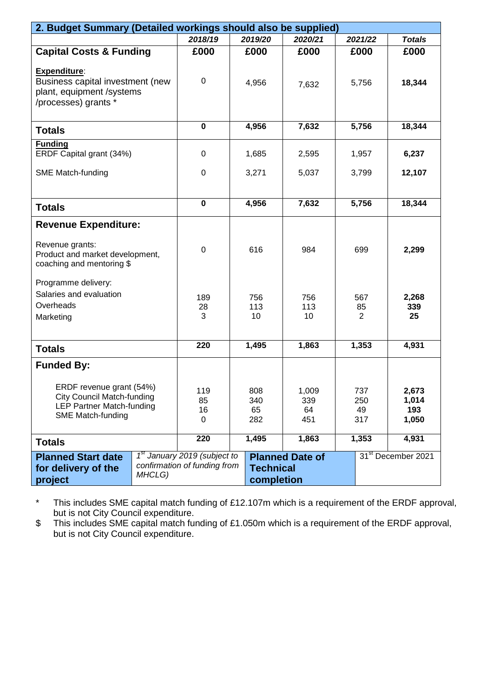| 2. Budget Summary (Detailed workings should also be supplied)                                                                 |        |                                                                          |                                |                           |                             |                                |
|-------------------------------------------------------------------------------------------------------------------------------|--------|--------------------------------------------------------------------------|--------------------------------|---------------------------|-----------------------------|--------------------------------|
|                                                                                                                               |        | 2018/19                                                                  | 2019/20                        | 2020/21                   | 2021/22                     | <b>Totals</b>                  |
| <b>Capital Costs &amp; Funding</b>                                                                                            |        | £000                                                                     | £000                           | £000                      | £000                        | £000                           |
| Expenditure:<br>Business capital investment (new<br>plant, equipment /systems<br>/processes) grants *                         |        | $\mathbf 0$                                                              | 4,956                          | 7,632                     | 5,756                       | 18,344                         |
| <b>Totals</b>                                                                                                                 |        | $\mathbf 0$                                                              | 4,956                          | 7,632                     | 5,756                       | 18,344                         |
| <b>Funding</b><br>ERDF Capital grant (34%)                                                                                    |        | $\boldsymbol{0}$                                                         | 1,685                          | 2,595                     | 1,957                       | 6,237                          |
| <b>SME Match-funding</b>                                                                                                      |        | $\mathbf 0$                                                              | 3,271                          | 5,037                     | 3,799                       | 12,107                         |
|                                                                                                                               |        |                                                                          |                                |                           |                             |                                |
| <b>Totals</b>                                                                                                                 |        | $\mathbf 0$                                                              | 4,956                          | 7,632                     | 5,756                       | 18,344                         |
| <b>Revenue Expenditure:</b>                                                                                                   |        |                                                                          |                                |                           |                             |                                |
| Revenue grants:<br>Product and market development,<br>coaching and mentoring \$                                               |        | $\mathbf 0$                                                              | 616                            | 984                       | 699                         | 2,299                          |
| Programme delivery:<br>Salaries and evaluation<br>Overheads<br>Marketing                                                      |        | 189<br>28<br>3                                                           | 756<br>113<br>10               | 756<br>113<br>10          | 567<br>85<br>$\overline{2}$ | 2,268<br>339<br>25             |
| <b>Totals</b>                                                                                                                 |        | 220                                                                      | 1,495                          | 1,863                     | 1,353                       | 4,931                          |
| <b>Funded By:</b>                                                                                                             |        |                                                                          |                                |                           |                             |                                |
| ERDF revenue grant (54%)<br><b>City Council Match-funding</b><br><b>LEP Partner Match-funding</b><br><b>SME Match-funding</b> |        | 119<br>85<br>16<br>0                                                     | 808<br>340<br>65<br>282        | 1,009<br>339<br>64<br>451 | 737<br>250<br>49<br>317     | 2,673<br>1,014<br>193<br>1,050 |
| <b>Totals</b>                                                                                                                 |        | 220                                                                      | 1,495                          | 1,863                     | 1,353                       | 4,931                          |
| <b>Planned Start date</b><br>for delivery of the<br>project                                                                   | MHCLG) | 1 <sup>st</sup> January 2019 (subject to<br>confirmation of funding from | <b>Technical</b><br>completion | <b>Planned Date of</b>    |                             | 31 <sup>st</sup> December 2021 |

\* This includes SME capital match funding of £12.107m which is a requirement of the ERDF approval, but is not City Council expenditure.

\$ This includes SME capital match funding of £1.050m which is a requirement of the ERDF approval, but is not City Council expenditure.